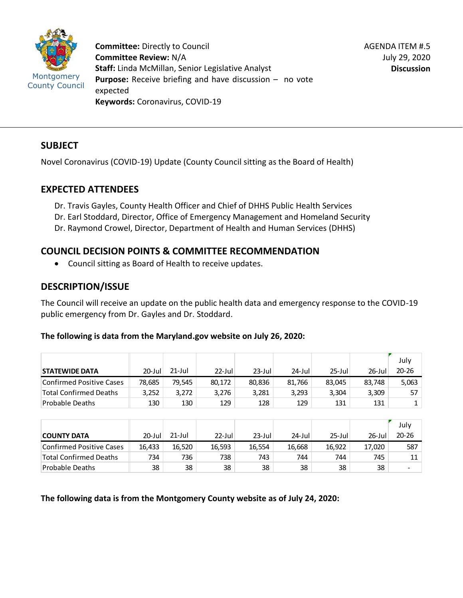

**Committee:** Directly to Council **Committee Review:** N/A **Staff:** Linda McMillan, Senior Legislative Analyst **Purpose:** Receive briefing and have discussion – no vote expected **Keywords:** Coronavirus, COVID-19

## **SUBJECT**

Novel Coronavirus (COVID-19) Update (County Council sitting as the Board of Health)

## **EXPECTED ATTENDEES**

Dr. Travis Gayles, County Health Officer and Chief of DHHS Public Health Services Dr. Earl Stoddard, Director, Office of Emergency Management and Homeland Security Dr. Raymond Crowel, Director, Department of Health and Human Services (DHHS)

## **COUNCIL DECISION POINTS & COMMITTEE RECOMMENDATION**

• Council sitting as Board of Health to receive updates.

# **DESCRIPTION/ISSUE**

The Council will receive an update on the public health data and emergency response to the COVID-19 public emergency from Dr. Gayles and Dr. Stoddard.

### **The following is data from the Maryland.gov website on July 26, 2020:**

|                               |           |        |           |           |        |           |        | July  |
|-------------------------------|-----------|--------|-----------|-----------|--------|-----------|--------|-------|
| <b>STATEWIDE DATA</b>         | $20$ -Jul | 21-Jul | $22$ -Jul | $23$ -Jul | 24-Jul | $25$ -Jul | 26-Jul | 20-26 |
| Confirmed Positive Cases      | 78.685    | 79.545 | 80.172    | 80.836    | 81.766 | 83.045    | 83.748 | 5,063 |
| <b>Total Confirmed Deaths</b> | 3,252     | 3,272  | 3,276     | 3,281     | 3,293  | 3,304     | 3,309  | 57    |
| Probable Deaths               | 130       | 130    | 129       | 128       | 129    | 131       | 131    |       |

|                          | ∸∽        | ∸∽        | ---       | ∸∸        | ∸∸     | ---       | ---    |           |
|--------------------------|-----------|-----------|-----------|-----------|--------|-----------|--------|-----------|
|                          |           |           |           |           |        |           |        |           |
|                          |           |           |           |           |        |           |        | July      |
| <b>COUNTY DATA</b>       | $20$ -Jul | $21$ -Jul | $22$ -Jul | $23$ -Jul | 24-Jul | $25$ -Jul | 26-Jul | $20 - 26$ |
| Confirmed Positive Cases | 16,433    | 16,520    | 16,593    | 16,554    | 16,668 | 16,922    | 17,020 | 587       |
| Total Confirmed Deaths   | 734       | 736       | 738       | 743       | 744    | 744       | 745    | 11        |
| Probable Deaths          | 38        | 38        | 38        | 38        | 38     | 38        | 38     | -         |

**The following data is from the Montgomery County website as of July 24, 2020:**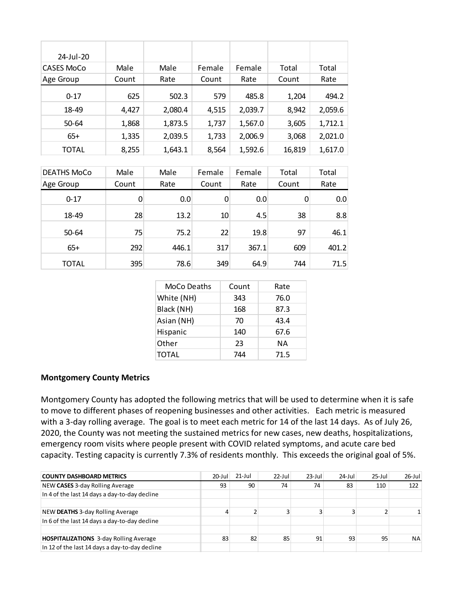| 24-Jul-20  |       |         |        |         |        |         |
|------------|-------|---------|--------|---------|--------|---------|
| CASES MoCo | Male  | Male    | Female | Female  | Total  | Total   |
| Age Group  | Count | Rate    | Count  | Rate    | Count  | Rate    |
| $0 - 17$   | 625   | 502.3   | 579    | 485.8   | 1,204  | 494.2   |
| 18-49      | 4,427 | 2,080.4 | 4,515  | 2,039.7 | 8,942  | 2,059.6 |
| 50-64      | 1,868 | 1,873.5 | 1,737  | 1,567.0 | 3,605  | 1,712.1 |
| $65+$      | 1,335 | 2,039.5 | 1,733  | 2,006.9 | 3,068  | 2,021.0 |
| TOTAL      | 8,255 | 1,643.1 | 8,564  | 1,592.6 | 16,819 | 1,617.0 |

| <b>DEATHS MoCo</b> | Male  | Male  | Female | Female | Total | Total |
|--------------------|-------|-------|--------|--------|-------|-------|
| Age Group          | Count | Rate  | Count  | Rate   | Count | Rate  |
| $0 - 17$           | 0     | 0.0   | 0      | 0.0    | 0     | 0.0   |
| 18-49              | 28    | 13.2  | 10     | 4.5    | 38    | 8.8   |
| 50-64              | 75    | 75.2  | 22     | 19.8   | 97    | 46.1  |
| $65+$              | 292   | 446.1 | 317    | 367.1  | 609   | 401.2 |
| TOTAL              | 395   | 78.6  | 349    | 64.9   | 744   | 71.5  |

| MoCo Deaths  | Count | Rate |
|--------------|-------|------|
| White (NH)   | 343   | 76.0 |
| Black (NH)   | 168   | 87.3 |
| Asian (NH)   | 70    | 43.4 |
| Hispanic     | 140   | 67.6 |
| Other        | 23    | ΝA   |
| <b>TOTAL</b> | 744   | 71.5 |

#### **Montgomery County Metrics**

Montgomery County has adopted the following metrics that will be used to determine when it is safe to move to different phases of reopening businesses and other activities. Each metric is measured with a 3-day rolling average. The goal is to meet each metric for 14 of the last 14 days. As of July 26, 2020, the County was not meeting the sustained metrics for new cases, new deaths, hospitalizations, emergency room visits where people present with COVID related symptoms, and acute care bed capacity. Testing capacity is currently 7.3% of residents monthly. This exceeds the original goal of 5%.

| <b>COUNTY DASHBOARD METRICS</b>                | $20 -$ Jul | $21$ -Jul | $22$ -Jul | $23$ -Jul | $24$ -Jul | $25$ -Jul | $26$ -Jul |
|------------------------------------------------|------------|-----------|-----------|-----------|-----------|-----------|-----------|
| NEW CASES 3-day Rolling Average                | 93         | 90        | 74        | 74        | 83        | 110       | 122       |
| In 4 of the last 14 days a day-to-day decline  |            |           |           |           |           |           |           |
|                                                |            |           |           |           |           |           |           |
| NEW DEATHS 3-day Rolling Average               | 4          |           |           |           |           |           |           |
| In 6 of the last 14 days a day-to-day decline  |            |           |           |           |           |           |           |
|                                                |            |           |           |           |           |           |           |
| <b>HOSPITALIZATIONS</b> 3-day Rolling Average  | 83         | 82        | 85        | 91        | 93        | 95        | <b>NA</b> |
| In 12 of the last 14 days a day-to-day decline |            |           |           |           |           |           |           |